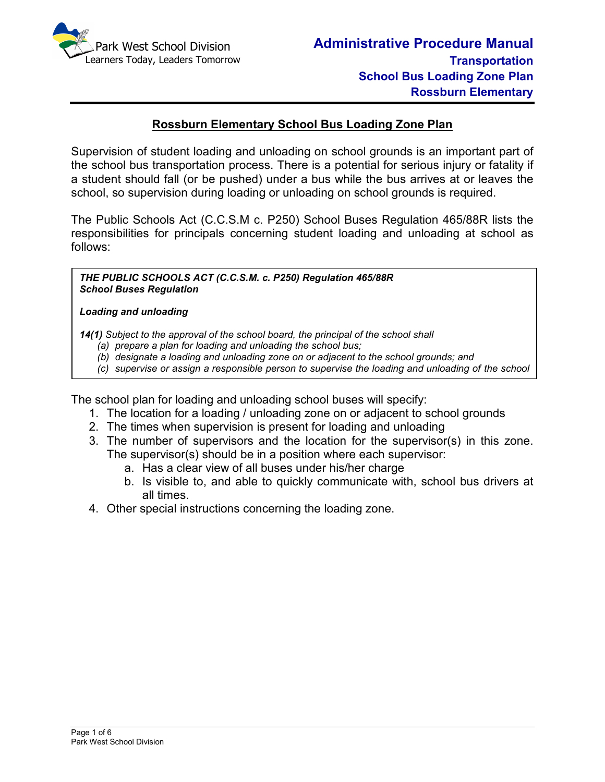

# **Rossburn Elementary School Bus Loading Zone Plan**

Supervision of student loading and unloading on school grounds is an important part of the school bus transportation process. There is a potential for serious injury or fatality if a student should fall (or be pushed) under a bus while the bus arrives at or leaves the school, so supervision during loading or unloading on school grounds is required.

The Public Schools Act (C.C.S.M c. P250) School Buses Regulation 465/88R lists the responsibilities for principals concerning student loading and unloading at school as follows:

*THE PUBLIC SCHOOLS ACT (C.C.S.M. c. P250) Regulation 465/88R School Buses Regulation* 

#### *Loading and unloading*

*bus.*

*14(1) Subject to the approval of the school board, the principal of the school shall* 

- *(a) prepare a plan for loading and unloading the school bus;*
- *(b) designate a loading and unloading zone on or adjacent to the school grounds; and*
- *(c) supervise or assign a responsible person to supervise the loading and unloading of the school*

The school plan for loading and unloading school buses will specify:

- 1. The location for a loading / unloading zone on or adjacent to school grounds
- 2. The times when supervision is present for loading and unloading
- 3. The number of supervisors and the location for the supervisor(s) in this zone. The supervisor(s) should be in a position where each supervisor:
	- a. Has a clear view of all buses under his/her charge
	- b. Is visible to, and able to quickly communicate with, school bus drivers at all times.
- 4. Other special instructions concerning the loading zone.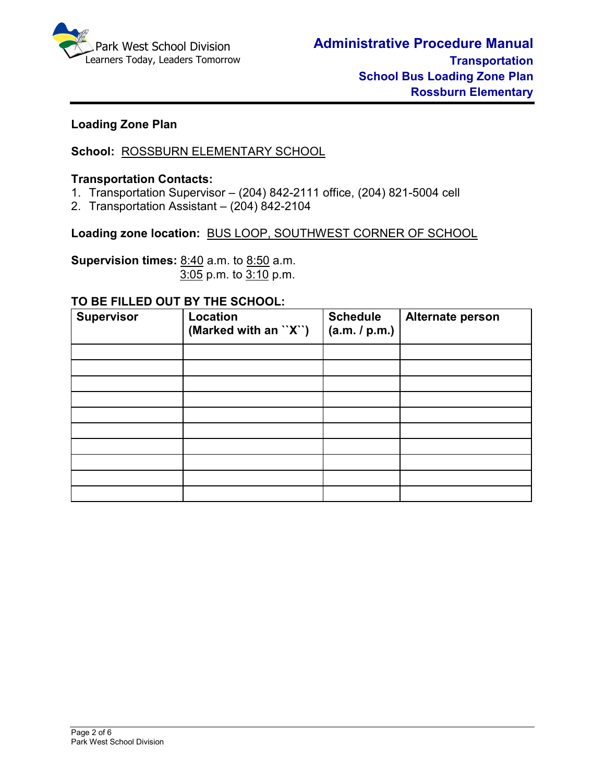

# **Loading Zone Plan**

**School:** ROSSBURN ELEMENTARY SCHOOL

## **Transportation Contacts:**

- 1. Transportation Supervisor (204) 842-2111 office, (204) 821-5004 cell
- 2. Transportation Assistant (204) 842-2104

**Loading zone location:** BUS LOOP, SOUTHWEST CORNER OF SCHOOL

**Supervision times:** 8:40 a.m. to 8:50 a.m.3:05 p.m. to 3:10 p.m.

#### **TO BE FILLED OUT BY THE SCHOOL:**

| <b>Supervisor</b> | Location<br>(Marked with an "X") | <b>Schedule</b><br>(a.m. / p.m.) | Alternate person |
|-------------------|----------------------------------|----------------------------------|------------------|
|                   |                                  |                                  |                  |
|                   |                                  |                                  |                  |
|                   |                                  |                                  |                  |
|                   |                                  |                                  |                  |
|                   |                                  |                                  |                  |
|                   |                                  |                                  |                  |
|                   |                                  |                                  |                  |
|                   |                                  |                                  |                  |
|                   |                                  |                                  |                  |
|                   |                                  |                                  |                  |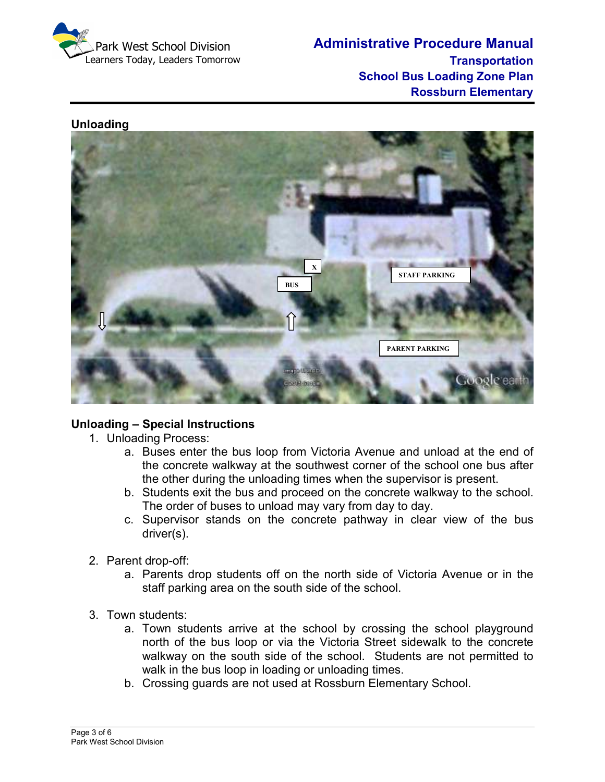

**Administrative Procedure Manual Transportation School Bus Loading Zone Plan Rossburn Elementary** 

## **Unloading**



## **Unloading – Special Instructions**

- 1. Unloading Process:
	- a. Buses enter the bus loop from Victoria Avenue and unload at the end of the concrete walkway at the southwest corner of the school one bus after the other during the unloading times when the supervisor is present.
	- b. Students exit the bus and proceed on the concrete walkway to the school. The order of buses to unload may vary from day to day.
	- c. Supervisor stands on the concrete pathway in clear view of the bus driver(s).
- 2. Parent drop-off:
	- a. Parents drop students off on the north side of Victoria Avenue or in the staff parking area on the south side of the school.
- 3. Town students:
	- a. Town students arrive at the school by crossing the school playground north of the bus loop or via the Victoria Street sidewalk to the concrete walkway on the south side of the school. Students are not permitted to walk in the bus loop in loading or unloading times.
	- b. Crossing guards are not used at Rossburn Elementary School.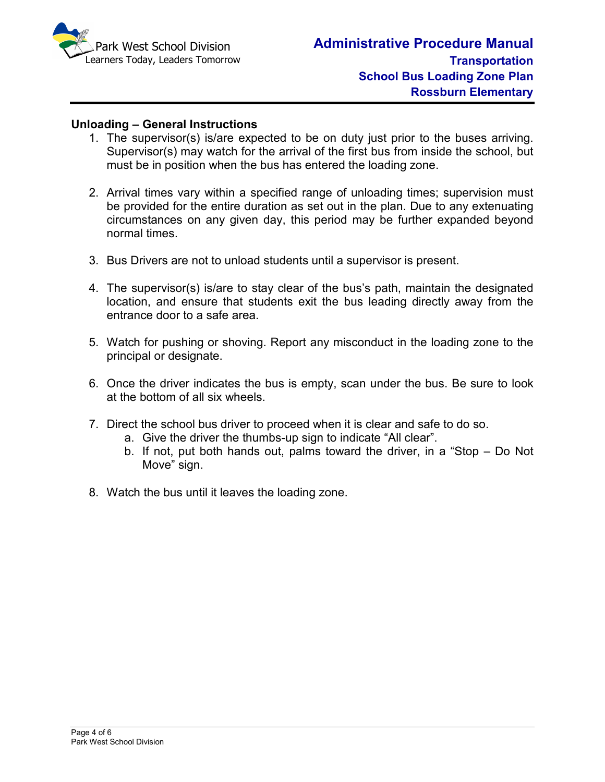

## **Unloading – General Instructions**

- 1. The supervisor(s) is/are expected to be on duty just prior to the buses arriving. Supervisor(s) may watch for the arrival of the first bus from inside the school, but must be in position when the bus has entered the loading zone.
- 2. Arrival times vary within a specified range of unloading times; supervision must be provided for the entire duration as set out in the plan. Due to any extenuating circumstances on any given day, this period may be further expanded beyond normal times.
- 3. Bus Drivers are not to unload students until a supervisor is present.
- 4. The supervisor(s) is/are to stay clear of the bus's path, maintain the designated location, and ensure that students exit the bus leading directly away from the entrance door to a safe area.
- 5. Watch for pushing or shoving. Report any misconduct in the loading zone to the principal or designate.
- 6. Once the driver indicates the bus is empty, scan under the bus. Be sure to look at the bottom of all six wheels.
- 7. Direct the school bus driver to proceed when it is clear and safe to do so.
	- a. Give the driver the thumbs-up sign to indicate "All clear".
	- b. If not, put both hands out, palms toward the driver, in a "Stop Do Not Move" sign.
- 8. Watch the bus until it leaves the loading zone.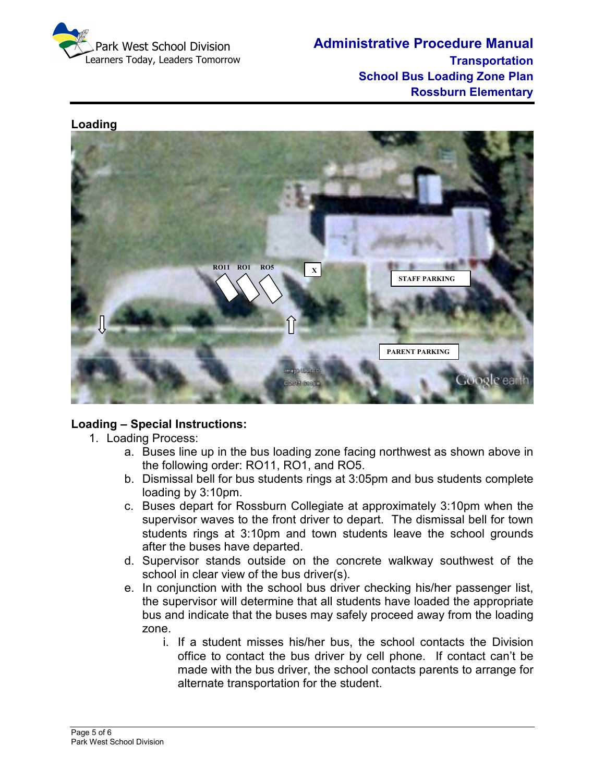

**Administrative Procedure Manual Transportation School Bus Loading Zone Plan Rossburn Elementary** 

## **Loading**



# **Loading – Special Instructions:**

- 1. Loading Process:
	- a. Buses line up in the bus loading zone facing northwest as shown above in the following order: RO11, RO1, and RO5.
	- b. Dismissal bell for bus students rings at 3:05pm and bus students complete loading by 3:10pm.
	- c. Buses depart for Rossburn Collegiate at approximately 3:10pm when the supervisor waves to the front driver to depart. The dismissal bell for town students rings at 3:10pm and town students leave the school grounds after the buses have departed.
	- d. Supervisor stands outside on the concrete walkway southwest of the school in clear view of the bus driver(s).
	- e. In conjunction with the school bus driver checking his/her passenger list, the supervisor will determine that all students have loaded the appropriate bus and indicate that the buses may safely proceed away from the loading zone.
		- i. If a student misses his/her bus, the school contacts the Division office to contact the bus driver by cell phone. If contact can't be made with the bus driver, the school contacts parents to arrange for alternate transportation for the student.